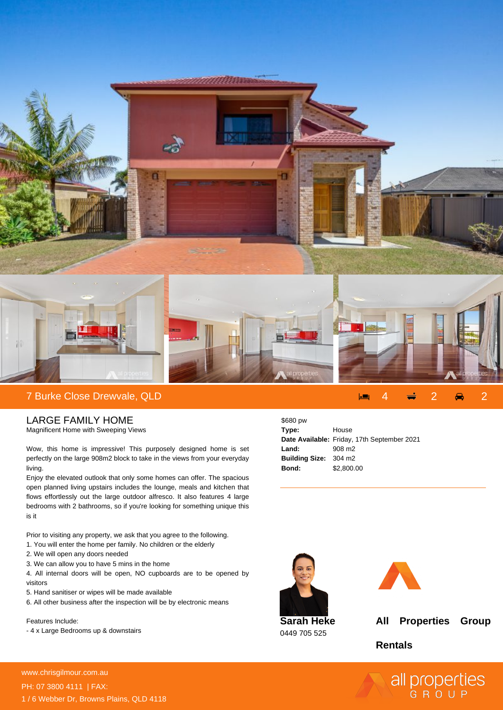

LARGE FAMILY HOME

Magnificent Home with Sweeping Views

Wow, this home is impressive! This purposely designed home is set perfectly on the large 908m2 block to take in the views from your everyday living.

Enjoy the elevated outlook that only some homes can offer. The spacious open planned living upstairs includes the lounge, meals and kitchen that flows effortlessly out the large outdoor alfresco. It also features 4 large bedrooms with 2 bathrooms, so if you're looking for something unique this is it

Prior to visiting any property, we ask that you agree to the following.

- 1. You will enter the home per family. No children or the elderly
- 2. We will open any doors needed
- 3. We can allow you to have 5 mins in the home

4. All internal doors will be open, NO cupboards are to be opened by visitors

- 5. Hand sanitiser or wipes will be made available
- 6. All other business after the inspection will be by electronic means

Features Include:

- 4 x Large Bedrooms up & downstairs

| \$680 pw                     |                                             |
|------------------------------|---------------------------------------------|
| Type:                        | House                                       |
|                              | Date Available: Friday, 17th September 2021 |
| Land:                        | 908 m <sub>2</sub>                          |
| <b>Building Size: 304 m2</b> |                                             |
| Bond:                        | \$2,800.00                                  |





**Sarah Heke** 0449 705 525

**All Properties Group**

**Rentals**



**For more details please visit** www.chrisgilmour.com.au/664787687687<br>www.chrisgilmour.com.au PH: 07 3800 4111 | FAX: 1 / 6 Webber Dr, Browns Plains, QLD 4118